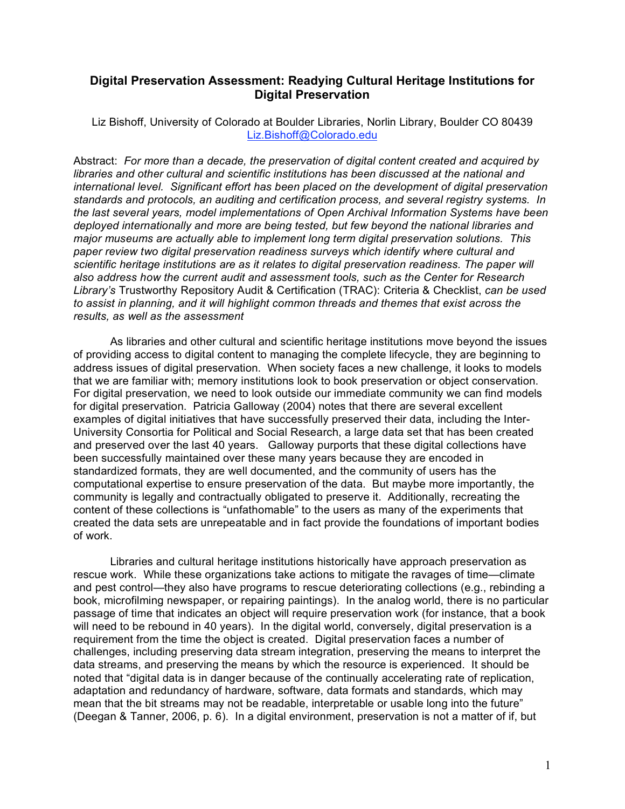## **Digital Preservation Assessment: Readying Cultural Heritage Institutions for Digital Preservation**

Liz Bishoff, University of Colorado at Boulder Libraries, Norlin Library, Boulder CO 80439 Liz.Bishoff@Colorado.edu

Abstract: *For more than a decade, the preservation of digital content created and acquired by libraries and other cultural and scientific institutions has been discussed at the national and international level. Significant effort has been placed on the development of digital preservation standards and protocols, an auditing and certification process, and several registry systems. In the last several years, model implementations of Open Archival Information Systems have been deployed internationally and more are being tested, but few beyond the national libraries and major museums are actually able to implement long term digital preservation solutions. This paper review two digital preservation readiness surveys which identify where cultural and scientific heritage institutions are as it relates to digital preservation readiness. The paper will also address how the current audit and assessment tools, such as the Center for Research Library's* Trustworthy Repository Audit & Certification (TRAC): Criteria & Checklist, *can be used to assist in planning, and it will highlight common threads and themes that exist across the results, as well as the assessment*

As libraries and other cultural and scientific heritage institutions move beyond the issues of providing access to digital content to managing the complete lifecycle, they are beginning to address issues of digital preservation. When society faces a new challenge, it looks to models that we are familiar with; memory institutions look to book preservation or object conservation. For digital preservation, we need to look outside our immediate community we can find models for digital preservation. Patricia Galloway (2004) notes that there are several excellent examples of digital initiatives that have successfully preserved their data, including the Inter-University Consortia for Political and Social Research, a large data set that has been created and preserved over the last 40 years. Galloway purports that these digital collections have been successfully maintained over these many years because they are encoded in standardized formats, they are well documented, and the community of users has the computational expertise to ensure preservation of the data. But maybe more importantly, the community is legally and contractually obligated to preserve it. Additionally, recreating the content of these collections is "unfathomable" to the users as many of the experiments that created the data sets are unrepeatable and in fact provide the foundations of important bodies of work.

Libraries and cultural heritage institutions historically have approach preservation as rescue work. While these organizations take actions to mitigate the ravages of time—climate and pest control—they also have programs to rescue deteriorating collections (e.g., rebinding a book, microfilming newspaper, or repairing paintings). In the analog world, there is no particular passage of time that indicates an object will require preservation work (for instance, that a book will need to be rebound in 40 years). In the digital world, conversely, digital preservation is a requirement from the time the object is created. Digital preservation faces a number of challenges, including preserving data stream integration, preserving the means to interpret the data streams, and preserving the means by which the resource is experienced. It should be noted that "digital data is in danger because of the continually accelerating rate of replication, adaptation and redundancy of hardware, software, data formats and standards, which may mean that the bit streams may not be readable, interpretable or usable long into the future" (Deegan & Tanner, 2006, p. 6). In a digital environment, preservation is not a matter of if, but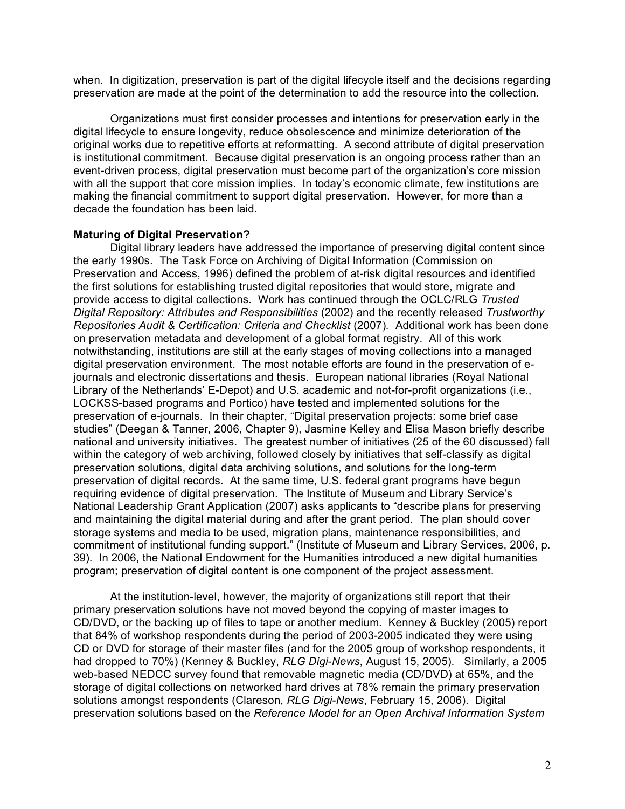when. In digitization, preservation is part of the digital lifecycle itself and the decisions regarding preservation are made at the point of the determination to add the resource into the collection.

Organizations must first consider processes and intentions for preservation early in the digital lifecycle to ensure longevity, reduce obsolescence and minimize deterioration of the original works due to repetitive efforts at reformatting. A second attribute of digital preservation is institutional commitment. Because digital preservation is an ongoing process rather than an event-driven process, digital preservation must become part of the organization's core mission with all the support that core mission implies. In today's economic climate, few institutions are making the financial commitment to support digital preservation. However, for more than a decade the foundation has been laid.

#### **Maturing of Digital Preservation?**

Digital library leaders have addressed the importance of preserving digital content since the early 1990s. The Task Force on Archiving of Digital Information (Commission on Preservation and Access, 1996) defined the problem of at-risk digital resources and identified the first solutions for establishing trusted digital repositories that would store, migrate and provide access to digital collections. Work has continued through the OCLC/RLG *Trusted Digital Repository: Attributes and Responsibilities* (2002) and the recently released *Trustworthy Repositories Audit & Certification: Criteria and Checklist* (2007)*.* Additional work has been done on preservation metadata and development of a global format registry. All of this work notwithstanding, institutions are still at the early stages of moving collections into a managed digital preservation environment. The most notable efforts are found in the preservation of ejournals and electronic dissertations and thesis. European national libraries (Royal National Library of the Netherlands' E-Depot) and U.S. academic and not-for-profit organizations (i.e., LOCKSS-based programs and Portico) have tested and implemented solutions for the preservation of e-journals. In their chapter, "Digital preservation projects: some brief case studies" (Deegan & Tanner, 2006, Chapter 9), Jasmine Kelley and Elisa Mason briefly describe national and university initiatives. The greatest number of initiatives (25 of the 60 discussed) fall within the category of web archiving, followed closely by initiatives that self-classify as digital preservation solutions, digital data archiving solutions, and solutions for the long-term preservation of digital records. At the same time, U.S. federal grant programs have begun requiring evidence of digital preservation. The Institute of Museum and Library Service's National Leadership Grant Application (2007) asks applicants to "describe plans for preserving and maintaining the digital material during and after the grant period. The plan should cover storage systems and media to be used, migration plans, maintenance responsibilities, and commitment of institutional funding support." (Institute of Museum and Library Services, 2006, p. 39). In 2006, the National Endowment for the Humanities introduced a new digital humanities program; preservation of digital content is one component of the project assessment.

At the institution-level, however, the majority of organizations still report that their primary preservation solutions have not moved beyond the copying of master images to CD/DVD, or the backing up of files to tape or another medium. Kenney & Buckley (2005) report that 84% of workshop respondents during the period of 2003-2005 indicated they were using CD or DVD for storage of their master files (and for the 2005 group of workshop respondents, it had dropped to 70%) (Kenney & Buckley, *RLG Digi-News*, August 15, 2005). Similarly, a 2005 web-based NEDCC survey found that removable magnetic media (CD/DVD) at 65%, and the storage of digital collections on networked hard drives at 78% remain the primary preservation solutions amongst respondents (Clareson, *RLG Digi-News*, February 15, 2006). Digital preservation solutions based on the *Reference Model for an Open Archival Information System*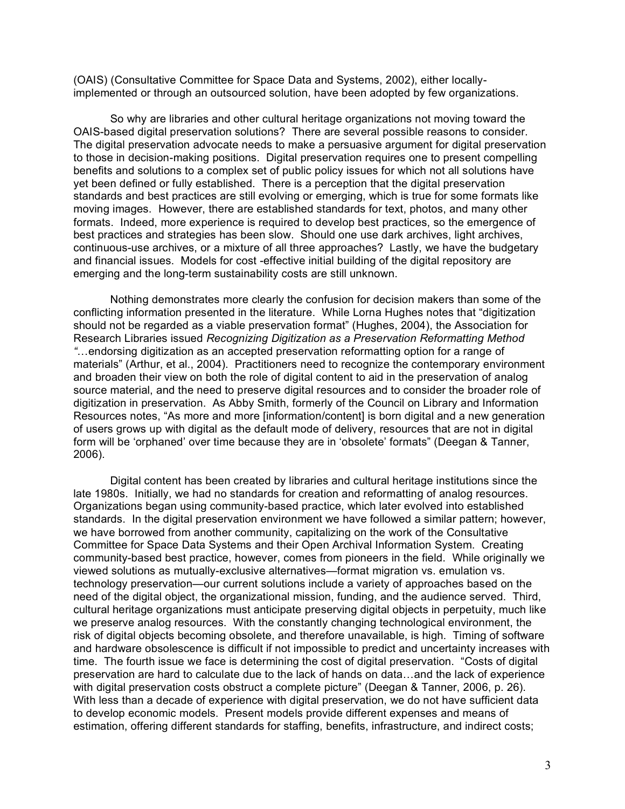(OAIS) (Consultative Committee for Space Data and Systems, 2002), either locallyimplemented or through an outsourced solution, have been adopted by few organizations.

So why are libraries and other cultural heritage organizations not moving toward the OAIS-based digital preservation solutions? There are several possible reasons to consider. The digital preservation advocate needs to make a persuasive argument for digital preservation to those in decision-making positions. Digital preservation requires one to present compelling benefits and solutions to a complex set of public policy issues for which not all solutions have yet been defined or fully established. There is a perception that the digital preservation standards and best practices are still evolving or emerging, which is true for some formats like moving images. However, there are established standards for text, photos, and many other formats. Indeed, more experience is required to develop best practices, so the emergence of best practices and strategies has been slow. Should one use dark archives, light archives, continuous-use archives, or a mixture of all three approaches? Lastly, we have the budgetary and financial issues. Models for cost -effective initial building of the digital repository are emerging and the long-term sustainability costs are still unknown.

Nothing demonstrates more clearly the confusion for decision makers than some of the conflicting information presented in the literature. While Lorna Hughes notes that "digitization should not be regarded as a viable preservation format" (Hughes, 2004), the Association for Research Libraries issued *Recognizing Digitization as a Preservation Reformatting Method "*…endorsing digitization as an accepted preservation reformatting option for a range of materials" (Arthur, et al., 2004). Practitioners need to recognize the contemporary environment and broaden their view on both the role of digital content to aid in the preservation of analog source material, and the need to preserve digital resources and to consider the broader role of digitization in preservation. As Abby Smith, formerly of the Council on Library and Information Resources notes, "As more and more [information/content] is born digital and a new generation of users grows up with digital as the default mode of delivery, resources that are not in digital form will be 'orphaned' over time because they are in 'obsolete' formats" (Deegan & Tanner, 2006).

Digital content has been created by libraries and cultural heritage institutions since the late 1980s. Initially, we had no standards for creation and reformatting of analog resources. Organizations began using community-based practice, which later evolved into established standards. In the digital preservation environment we have followed a similar pattern; however, we have borrowed from another community, capitalizing on the work of the Consultative Committee for Space Data Systems and their Open Archival Information System. Creating community-based best practice, however, comes from pioneers in the field. While originally we viewed solutions as mutually-exclusive alternatives—format migration vs. emulation vs. technology preservation—our current solutions include a variety of approaches based on the need of the digital object, the organizational mission, funding, and the audience served. Third, cultural heritage organizations must anticipate preserving digital objects in perpetuity, much like we preserve analog resources. With the constantly changing technological environment, the risk of digital objects becoming obsolete, and therefore unavailable, is high. Timing of software and hardware obsolescence is difficult if not impossible to predict and uncertainty increases with time. The fourth issue we face is determining the cost of digital preservation. "Costs of digital preservation are hard to calculate due to the lack of hands on data…and the lack of experience with digital preservation costs obstruct a complete picture" (Deegan & Tanner, 2006, p. 26). With less than a decade of experience with digital preservation, we do not have sufficient data to develop economic models. Present models provide different expenses and means of estimation, offering different standards for staffing, benefits, infrastructure, and indirect costs;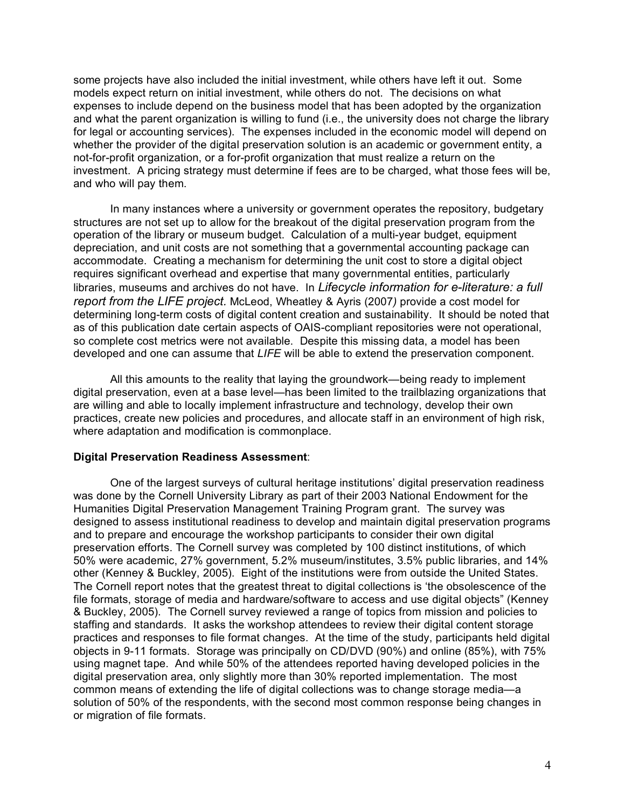some projects have also included the initial investment, while others have left it out. Some models expect return on initial investment, while others do not. The decisions on what expenses to include depend on the business model that has been adopted by the organization and what the parent organization is willing to fund (i.e., the university does not charge the library for legal or accounting services). The expenses included in the economic model will depend on whether the provider of the digital preservation solution is an academic or government entity, a not-for-profit organization, or a for-profit organization that must realize a return on the investment. A pricing strategy must determine if fees are to be charged, what those fees will be, and who will pay them.

In many instances where a university or government operates the repository, budgetary structures are not set up to allow for the breakout of the digital preservation program from the operation of the library or museum budget. Calculation of a multi-year budget, equipment depreciation, and unit costs are not something that a governmental accounting package can accommodate. Creating a mechanism for determining the unit cost to store a digital object requires significant overhead and expertise that many governmental entities, particularly libraries, museums and archives do not have. In *Lifecycle information for e-literature: a full report from the LIFE project.* McLeod, Wheatley & Ayris (2007*)* provide a cost model for determining long-term costs of digital content creation and sustainability. It should be noted that as of this publication date certain aspects of OAIS-compliant repositories were not operational, so complete cost metrics were not available. Despite this missing data, a model has been developed and one can assume that *LIFE* will be able to extend the preservation component.

All this amounts to the reality that laying the groundwork—being ready to implement digital preservation, even at a base level—has been limited to the trailblazing organizations that are willing and able to locally implement infrastructure and technology, develop their own practices, create new policies and procedures, and allocate staff in an environment of high risk, where adaptation and modification is commonplace.

### **Digital Preservation Readiness Assessment**:

One of the largest surveys of cultural heritage institutions' digital preservation readiness was done by the Cornell University Library as part of their 2003 National Endowment for the Humanities Digital Preservation Management Training Program grant. The survey was designed to assess institutional readiness to develop and maintain digital preservation programs and to prepare and encourage the workshop participants to consider their own digital preservation efforts. The Cornell survey was completed by 100 distinct institutions, of which 50% were academic, 27% government, 5.2% museum/institutes, 3.5% public libraries, and 14% other (Kenney & Buckley, 2005). Eight of the institutions were from outside the United States. The Cornell report notes that the greatest threat to digital collections is 'the obsolescence of the file formats, storage of media and hardware/software to access and use digital objects" (Kenney & Buckley, 2005). The Cornell survey reviewed a range of topics from mission and policies to staffing and standards. It asks the workshop attendees to review their digital content storage practices and responses to file format changes. At the time of the study, participants held digital objects in 9-11 formats. Storage was principally on CD/DVD (90%) and online (85%), with 75% using magnet tape. And while 50% of the attendees reported having developed policies in the digital preservation area, only slightly more than 30% reported implementation. The most common means of extending the life of digital collections was to change storage media—a solution of 50% of the respondents, with the second most common response being changes in or migration of file formats.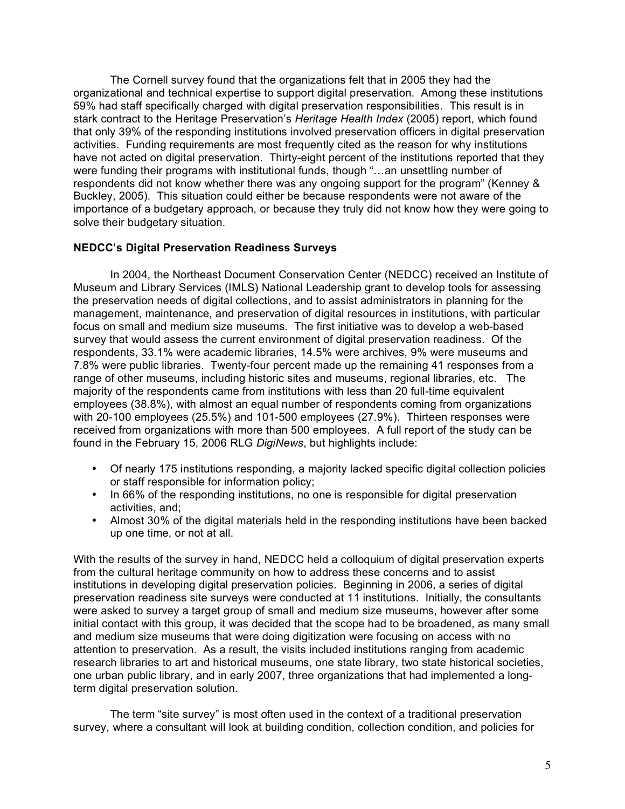The Cornell survey found that the organizations felt that in 2005 they had the organizational and technical expertise to support digital preservation. Among these institutions 59% had staff specifically charged with digital preservation responsibilities. This result is in stark contract to the Heritage Preservation's *Heritage Health Index* (2005) report, which found that only 39% of the responding institutions involved preservation officers in digital preservation activities. Funding requirements are most frequently cited as the reason for why institutions have not acted on digital preservation. Thirty-eight percent of the institutions reported that they were funding their programs with institutional funds, though "…an unsettling number of respondents did not know whether there was any ongoing support for the program" (Kenney & Buckley, 2005). This situation could either be because respondents were not aware of the importance of a budgetary approach, or because they truly did not know how they were going to solve their budgetary situation.

## **NEDCC's Digital Preservation Readiness Surveys**

In 2004, the Northeast Document Conservation Center (NEDCC) received an Institute of Museum and Library Services (IMLS) National Leadership grant to develop tools for assessing the preservation needs of digital collections, and to assist administrators in planning for the management, maintenance, and preservation of digital resources in institutions, with particular focus on small and medium size museums. The first initiative was to develop a web-based survey that would assess the current environment of digital preservation readiness. Of the respondents, 33.1% were academic libraries, 14.5% were archives, 9% were museums and 7.8% were public libraries. Twenty-four percent made up the remaining 41 responses from a range of other museums, including historic sites and museums, regional libraries, etc. The majority of the respondents came from institutions with less than 20 full-time equivalent employees (38.8%), with almost an equal number of respondents coming from organizations with 20-100 employees (25.5%) and 101-500 employees (27.9%). Thirteen responses were received from organizations with more than 500 employees. A full report of the study can be found in the February 15, 2006 RLG *DigiNews*, but highlights include:

- Of nearly 175 institutions responding, a majority lacked specific digital collection policies or staff responsible for information policy;
- In 66% of the responding institutions, no one is responsible for digital preservation activities, and;
- Almost 30% of the digital materials held in the responding institutions have been backed up one time, or not at all.

With the results of the survey in hand, NEDCC held a colloquium of digital preservation experts from the cultural heritage community on how to address these concerns and to assist institutions in developing digital preservation policies. Beginning in 2006, a series of digital preservation readiness site surveys were conducted at 11 institutions. Initially, the consultants were asked to survey a target group of small and medium size museums, however after some initial contact with this group, it was decided that the scope had to be broadened, as many small and medium size museums that were doing digitization were focusing on access with no attention to preservation. As a result, the visits included institutions ranging from academic research libraries to art and historical museums, one state library, two state historical societies, one urban public library, and in early 2007, three organizations that had implemented a longterm digital preservation solution.

The term "site survey" is most often used in the context of a traditional preservation survey, where a consultant will look at building condition, collection condition, and policies for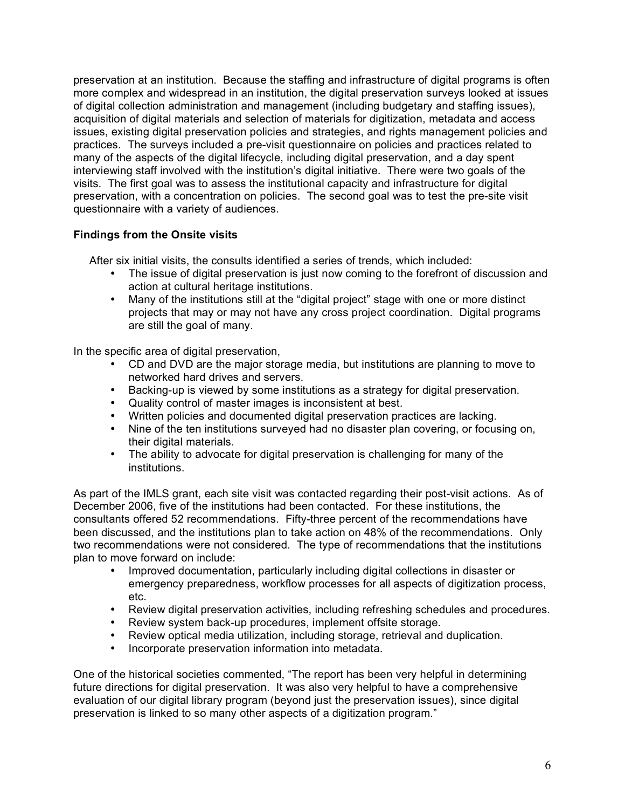preservation at an institution. Because the staffing and infrastructure of digital programs is often more complex and widespread in an institution, the digital preservation surveys looked at issues of digital collection administration and management (including budgetary and staffing issues), acquisition of digital materials and selection of materials for digitization, metadata and access issues, existing digital preservation policies and strategies, and rights management policies and practices. The surveys included a pre-visit questionnaire on policies and practices related to many of the aspects of the digital lifecycle, including digital preservation, and a day spent interviewing staff involved with the institution's digital initiative. There were two goals of the visits. The first goal was to assess the institutional capacity and infrastructure for digital preservation, with a concentration on policies. The second goal was to test the pre-site visit questionnaire with a variety of audiences.

# **Findings from the Onsite visits**

After six initial visits, the consults identified a series of trends, which included:

- The issue of digital preservation is just now coming to the forefront of discussion and action at cultural heritage institutions.
- Many of the institutions still at the "digital project" stage with one or more distinct projects that may or may not have any cross project coordination. Digital programs are still the goal of many.

In the specific area of digital preservation,

- CD and DVD are the major storage media, but institutions are planning to move to networked hard drives and servers.
- Backing-up is viewed by some institutions as a strategy for digital preservation.
- Quality control of master images is inconsistent at best.
- Written policies and documented digital preservation practices are lacking.
- Nine of the ten institutions surveyed had no disaster plan covering, or focusing on, their digital materials.
- The ability to advocate for digital preservation is challenging for many of the institutions.

As part of the IMLS grant, each site visit was contacted regarding their post-visit actions. As of December 2006, five of the institutions had been contacted. For these institutions, the consultants offered 52 recommendations. Fifty-three percent of the recommendations have been discussed, and the institutions plan to take action on 48% of the recommendations. Only two recommendations were not considered. The type of recommendations that the institutions plan to move forward on include:

- Improved documentation, particularly including digital collections in disaster or emergency preparedness, workflow processes for all aspects of digitization process, etc.
- Review digital preservation activities, including refreshing schedules and procedures.
- Review system back-up procedures, implement offsite storage.
- Review optical media utilization, including storage, retrieval and duplication.
- Incorporate preservation information into metadata.

One of the historical societies commented, "The report has been very helpful in determining future directions for digital preservation. It was also very helpful to have a comprehensive evaluation of our digital library program (beyond just the preservation issues), since digital preservation is linked to so many other aspects of a digitization program."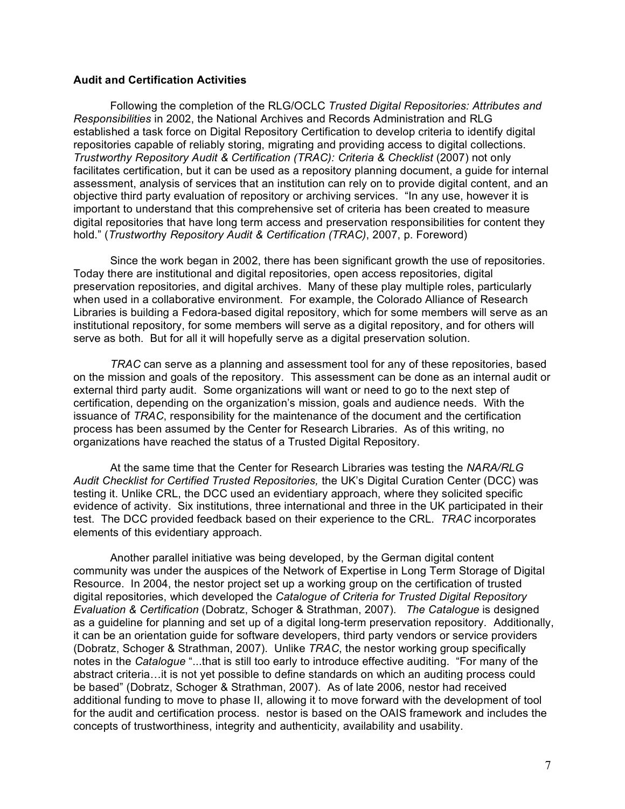## **Audit and Certification Activities**

Following the completion of the RLG/OCLC *Trusted Digital Repositories: Attributes and Responsibilities* in 2002, the National Archives and Records Administration and RLG established a task force on Digital Repository Certification to develop criteria to identify digital repositories capable of reliably storing, migrating and providing access to digital collections. *Trustworthy Repository Audit & Certification (TRAC): Criteria & Checklist* (2007) not only facilitates certification, but it can be used as a repository planning document, a guide for internal assessment, analysis of services that an institution can rely on to provide digital content, and an objective third party evaluation of repository or archiving services. "In any use, however it is important to understand that this comprehensive set of criteria has been created to measure digital repositories that have long term access and preservation responsibilities for content they hold." (*Trustworth*y *Repository Audit & Certification (TRAC)*, 2007, p. Foreword)

Since the work began in 2002, there has been significant growth the use of repositories. Today there are institutional and digital repositories, open access repositories, digital preservation repositories, and digital archives. Many of these play multiple roles, particularly when used in a collaborative environment. For example, the Colorado Alliance of Research Libraries is building a Fedora-based digital repository, which for some members will serve as an institutional repository, for some members will serve as a digital repository, and for others will serve as both. But for all it will hopefully serve as a digital preservation solution.

*TRAC* can serve as a planning and assessment tool for any of these repositories, based on the mission and goals of the repository. This assessment can be done as an internal audit or external third party audit. Some organizations will want or need to go to the next step of certification, depending on the organization's mission, goals and audience needs. With the issuance of *TRAC*, responsibility for the maintenance of the document and the certification process has been assumed by the Center for Research Libraries. As of this writing, no organizations have reached the status of a Trusted Digital Repository.

At the same time that the Center for Research Libraries was testing the *NARA/RLG Audit Checklist for Certified Trusted Repositories,* the UK's Digital Curation Center (DCC) was testing it. Unlike CRL, the DCC used an evidentiary approach, where they solicited specific evidence of activity. Six institutions, three international and three in the UK participated in their test. The DCC provided feedback based on their experience to the CRL. *TRAC* incorporates elements of this evidentiary approach.

Another parallel initiative was being developed, by the German digital content community was under the auspices of the Network of Expertise in Long Term Storage of Digital Resource. In 2004, the nestor project set up a working group on the certification of trusted digital repositories, which developed the *Catalogue of Criteria for Trusted Digital Repository Evaluation & Certification* (Dobratz, Schoger & Strathman, 2007). *The Catalogue* is designed as a guideline for planning and set up of a digital long-term preservation repository. Additionally, it can be an orientation guide for software developers, third party vendors or service providers (Dobratz, Schoger & Strathman, 2007). Unlike *TRAC*, the nestor working group specifically notes in the *Catalogue* "...that is still too early to introduce effective auditing. "For many of the abstract criteria…it is not yet possible to define standards on which an auditing process could be based" (Dobratz, Schoger & Strathman, 2007). As of late 2006, nestor had received additional funding to move to phase II, allowing it to move forward with the development of tool for the audit and certification process. nestor is based on the OAIS framework and includes the concepts of trustworthiness, integrity and authenticity, availability and usability.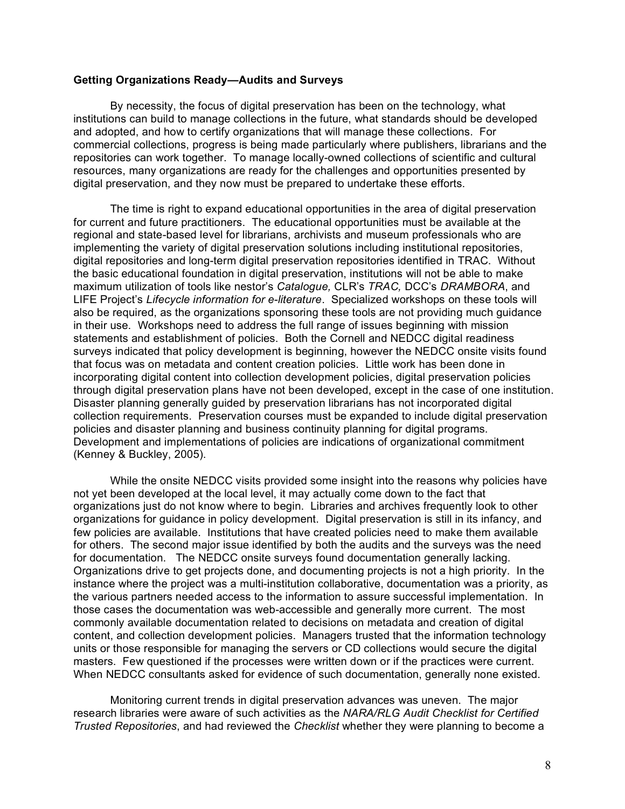### **Getting Organizations Ready—Audits and Surveys**

By necessity, the focus of digital preservation has been on the technology, what institutions can build to manage collections in the future, what standards should be developed and adopted, and how to certify organizations that will manage these collections. For commercial collections, progress is being made particularly where publishers, librarians and the repositories can work together. To manage locally-owned collections of scientific and cultural resources, many organizations are ready for the challenges and opportunities presented by digital preservation, and they now must be prepared to undertake these efforts.

The time is right to expand educational opportunities in the area of digital preservation for current and future practitioners. The educational opportunities must be available at the regional and state-based level for librarians, archivists and museum professionals who are implementing the variety of digital preservation solutions including institutional repositories, digital repositories and long-term digital preservation repositories identified in TRAC. Without the basic educational foundation in digital preservation, institutions will not be able to make maximum utilization of tools like nestor's *Catalogue,* CLR's *TRAC,* DCC's *DRAMBORA*, and LIFE Project's *Lifecycle information for e-literature*. Specialized workshops on these tools will also be required, as the organizations sponsoring these tools are not providing much guidance in their use. Workshops need to address the full range of issues beginning with mission statements and establishment of policies. Both the Cornell and NEDCC digital readiness surveys indicated that policy development is beginning, however the NEDCC onsite visits found that focus was on metadata and content creation policies. Little work has been done in incorporating digital content into collection development policies, digital preservation policies through digital preservation plans have not been developed, except in the case of one institution. Disaster planning generally guided by preservation librarians has not incorporated digital collection requirements. Preservation courses must be expanded to include digital preservation policies and disaster planning and business continuity planning for digital programs. Development and implementations of policies are indications of organizational commitment (Kenney & Buckley, 2005).

While the onsite NEDCC visits provided some insight into the reasons why policies have not yet been developed at the local level, it may actually come down to the fact that organizations just do not know where to begin. Libraries and archives frequently look to other organizations for guidance in policy development. Digital preservation is still in its infancy, and few policies are available. Institutions that have created policies need to make them available for others. The second major issue identified by both the audits and the surveys was the need for documentation. The NEDCC onsite surveys found documentation generally lacking. Organizations drive to get projects done, and documenting projects is not a high priority. In the instance where the project was a multi-institution collaborative, documentation was a priority, as the various partners needed access to the information to assure successful implementation. In those cases the documentation was web-accessible and generally more current. The most commonly available documentation related to decisions on metadata and creation of digital content, and collection development policies. Managers trusted that the information technology units or those responsible for managing the servers or CD collections would secure the digital masters. Few questioned if the processes were written down or if the practices were current. When NEDCC consultants asked for evidence of such documentation, generally none existed.

Monitoring current trends in digital preservation advances was uneven. The major research libraries were aware of such activities as the *NARA/RLG Audit Checklist for Certified Trusted Repositories*, and had reviewed the *Checklist* whether they were planning to become a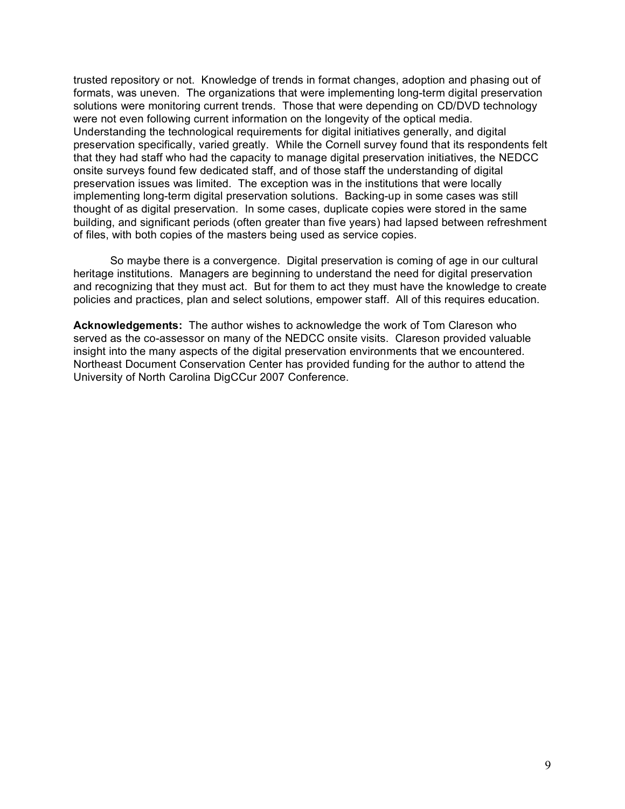trusted repository or not. Knowledge of trends in format changes, adoption and phasing out of formats, was uneven. The organizations that were implementing long-term digital preservation solutions were monitoring current trends. Those that were depending on CD/DVD technology were not even following current information on the longevity of the optical media. Understanding the technological requirements for digital initiatives generally, and digital preservation specifically, varied greatly. While the Cornell survey found that its respondents felt that they had staff who had the capacity to manage digital preservation initiatives, the NEDCC onsite surveys found few dedicated staff, and of those staff the understanding of digital preservation issues was limited. The exception was in the institutions that were locally implementing long-term digital preservation solutions. Backing-up in some cases was still thought of as digital preservation. In some cases, duplicate copies were stored in the same building, and significant periods (often greater than five years) had lapsed between refreshment of files, with both copies of the masters being used as service copies.

So maybe there is a convergence. Digital preservation is coming of age in our cultural heritage institutions. Managers are beginning to understand the need for digital preservation and recognizing that they must act. But for them to act they must have the knowledge to create policies and practices, plan and select solutions, empower staff. All of this requires education.

**Acknowledgements:** The author wishes to acknowledge the work of Tom Clareson who served as the co-assessor on many of the NEDCC onsite visits. Clareson provided valuable insight into the many aspects of the digital preservation environments that we encountered. Northeast Document Conservation Center has provided funding for the author to attend the University of North Carolina DigCCur 2007 Conference.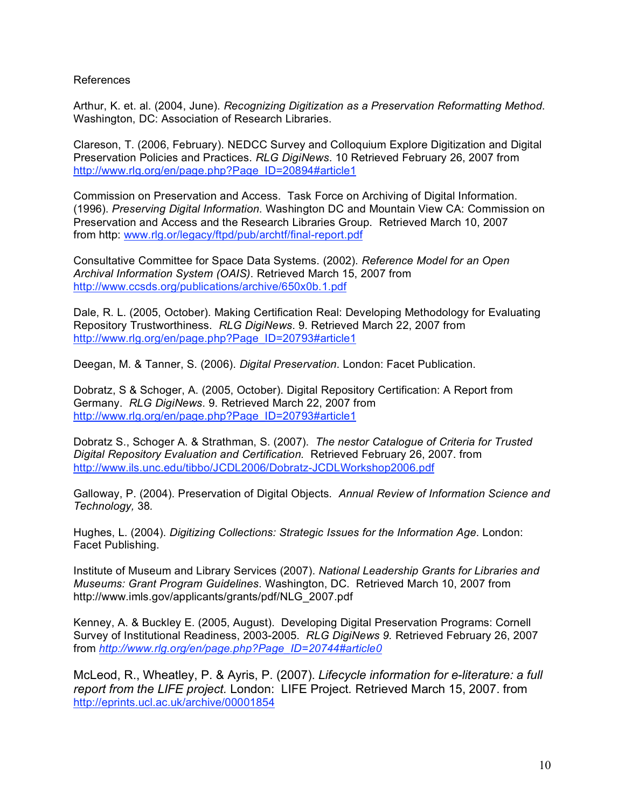### References

Arthur, K. et. al. (2004, June). *Recognizing Digitization as a Preservation Reformatting Method*. Washington, DC: Association of Research Libraries.

Clareson, T. (2006, February). NEDCC Survey and Colloquium Explore Digitization and Digital Preservation Policies and Practices. *RLG DigiNews*. 10 Retrieved February 26, 2007 from http://www.rlg.org/en/page.php?Page\_ID=20894#article1

Commission on Preservation and Access. Task Force on Archiving of Digital Information. (1996). *Preserving Digital Information*. Washington DC and Mountain View CA: Commission on Preservation and Access and the Research Libraries Group. Retrieved March 10, 2007 from http: www.rlg.or/legacy/ftpd/pub/archtf/final-report.pdf

Consultative Committee for Space Data Systems. (2002). *Reference Model for an Open Archival Information System (OAIS)*. Retrieved March 15, 2007 from http://www.ccsds.org/publications/archive/650x0b.1.pdf

Dale, R. L. (2005, October). Making Certification Real: Developing Methodology for Evaluating Repository Trustworthiness. *RLG DigiNews*. 9. Retrieved March 22, 2007 from http://www.rlg.org/en/page.php?Page\_ID=20793#article1

Deegan, M. & Tanner, S. (2006). *Digital Preservation*. London: Facet Publication.

Dobratz, S & Schoger, A. (2005, October). Digital Repository Certification: A Report from Germany. *RLG DigiNews*. 9. Retrieved March 22, 2007 from http://www.rlg.org/en/page.php?Page\_ID=20793#article1

Dobratz S., Schoger A. & Strathman, S. (2007). *The nestor Catalogue of Criteria for Trusted Digital Repository Evaluation and Certification.* Retrieved February 26, 2007. from http://www.ils.unc.edu/tibbo/JCDL2006/Dobratz-JCDLWorkshop2006.pdf

Galloway, P. (2004). Preservation of Digital Objects*. Annual Review of Information Science and Technology,* 38*.*

Hughes, L. (2004). *Digitizing Collections: Strategic Issues for the Information Age*. London: Facet Publishing.

Institute of Museum and Library Services (2007). *National Leadership Grants for Libraries and Museums: Grant Program Guidelines*. Washington, DC. Retrieved March 10, 2007 from http://www.imls.gov/applicants/grants/pdf/NLG\_2007.pdf

Kenney, A. & Buckley E. (2005, August). Developing Digital Preservation Programs: Cornell Survey of Institutional Readiness, 2003-2005. *RLG DigiNews 9.* Retrieved February 26, 2007 from *http://www.rlg.org/en/page.php?Page\_ID=20744#article0*

McLeod, R., Wheatley, P. & Ayris, P. (2007). *Lifecycle information for e-literature: a full report from the LIFE project.* London: LIFE Project*.* Retrieved March 15, 2007. from http://eprints.ucl.ac.uk/archive/00001854